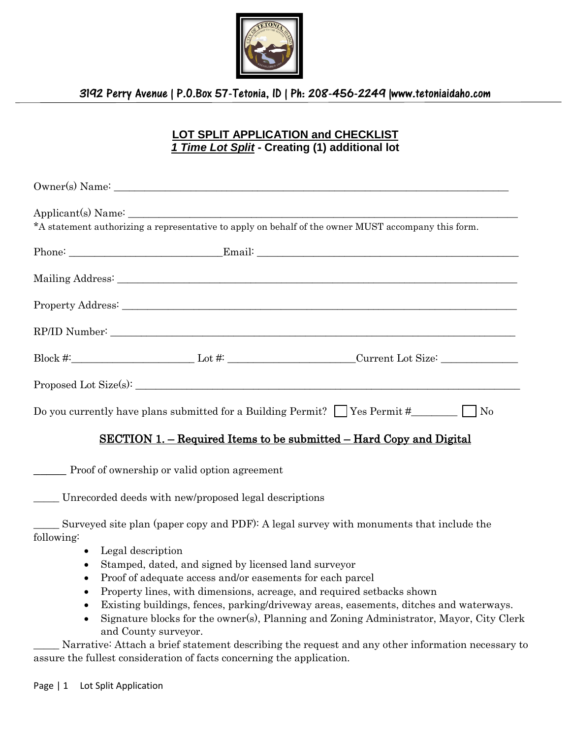

# 3192 Perry Avenue | P.O.Box 57-Tetonia, ID | Ph: 208-456-2249 |www.tetoniaidaho.com

# **LOT SPLIT APPLICATION and CHECKLIST** *1 Time Lot Split* **- Creating (1) additional lot**

| *A statement authorizing a representative to apply on behalf of the owner MUST accompany this form. |  |                                                                                                      |
|-----------------------------------------------------------------------------------------------------|--|------------------------------------------------------------------------------------------------------|
|                                                                                                     |  |                                                                                                      |
|                                                                                                     |  |                                                                                                      |
|                                                                                                     |  |                                                                                                      |
|                                                                                                     |  |                                                                                                      |
|                                                                                                     |  | Block #:_____________________________Lot #: _________________________Current Lot Size: _____________ |
|                                                                                                     |  |                                                                                                      |
|                                                                                                     |  |                                                                                                      |
|                                                                                                     |  | <u>SECTION 1. – Required Items to be submitted – Hard Copy and Digital</u>                           |

Proof of ownership or valid option agreement

\_\_\_\_\_ Unrecorded deeds with new/proposed legal descriptions

\_\_\_\_\_ Surveyed site plan (paper copy and PDF): A legal survey with monuments that include the following:

- Legal description
- Stamped, dated, and signed by licensed land surveyor
- Proof of adequate access and/or easements for each parcel
- Property lines, with dimensions, acreage, and required setbacks shown
- Existing buildings, fences, parking/driveway areas, easements, ditches and waterways.
- Signature blocks for the owner(s), Planning and Zoning Administrator, Mayor, City Clerk and County surveyor.

Narrative: Attach a brief statement describing the request and any other information necessary to assure the fullest consideration of facts concerning the application.

Page | 1 Lot Split Application